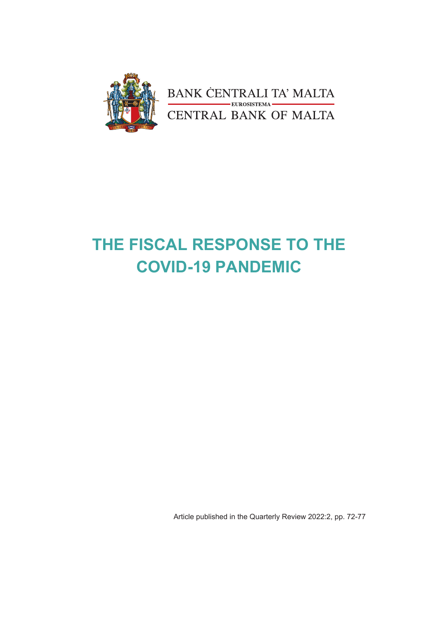

BANK CENTRALI TA' MALTA<br>CENTRAL BANK OF MALTA

# **THE FISCAL RESPONSE TO THE COVID-19 PANDEMIC**

Article published in the Quarterly Review 2022:2, pp. 72-77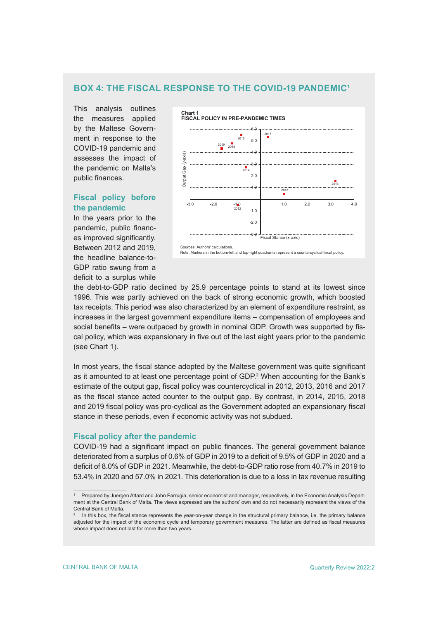## **BOX 4: THE FISCAL RESPONSE TO THE COVID-19 PANDEMIC1**

This analysis outlines the measures applied by the Maltese Government in response to the COVID-19 pandemic and assesses the impact of the pandemic on Malta's public finances.

## **Fiscal policy before the pandemic**

In the years prior to the pandemic, public finances improved significantly. Between 2012 and 2019, the headline balance-to-GDP ratio swung from a deficit to a surplus while



the debt-to-GDP ratio declined by 25.9 percentage points to stand at its lowest since 1996. This was partly achieved on the back of strong economic growth, which boosted tax receipts. This period was also characterized by an element of expenditure restraint, as increases in the largest government expenditure items – compensation of employees and social benefits – were outpaced by growth in nominal GDP. Growth was supported by fiscal policy, which was expansionary in five out of the last eight years prior to the pandemic (see Chart 1).

In most years, the fiscal stance adopted by the Maltese government was quite significant as it amounted to at least one percentage point of GDP.<sup>2</sup> When accounting for the Bank's estimate of the output gap, fiscal policy was countercyclical in 2012, 2013, 2016 and 2017 as the fiscal stance acted counter to the output gap. By contrast, in 2014, 2015, 2018 and 2019 fiscal policy was pro-cyclical as the Government adopted an expansionary fiscal stance in these periods, even if economic activity was not subdued.

## **Fiscal policy after the pandemic**

COVID-19 had a significant impact on public finances. The general government balance deteriorated from a surplus of 0.6% of GDP in 2019 to a deficit of 9.5% of GDP in 2020 and a deficit of 8.0% of GDP in 2021. Meanwhile, the debt-to-GDP ratio rose from 40.7% in 2019 to 53.4% in 2020 and 57.0% in 2021. This deterioration is due to a loss in tax revenue resulting

<sup>1</sup> Prepared by Juergen Attard and John Farrugia, senior economist and manager, respectively, in the Economic Analysis Department at the Central Bank of Malta. The views expressed are the authors' own and do not necessarily represent the views of the Central Bank of Malta.

<sup>2</sup> In this box, the fiscal stance represents the year-on-year change in the structural primary balance, i.e. the primary balance adjusted for the impact of the economic cycle and temporary government measures. The latter are defined as fiscal measures whose impact does not last for more than two years.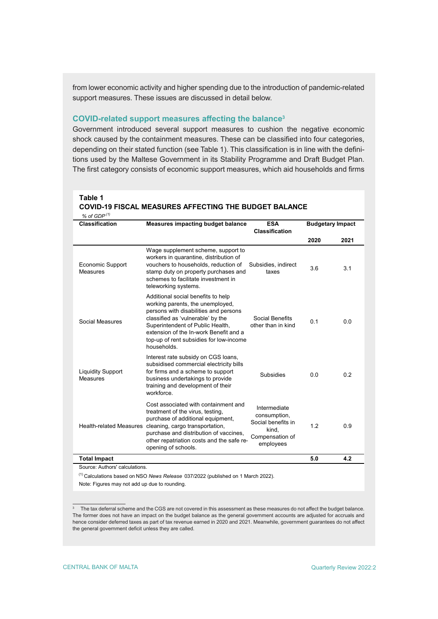from lower economic activity and higher spending due to the introduction of pandemic-related support measures. These issues are discussed in detail below.

#### **COVID-related support measures affecting the balance<sup>3</sup>**

Government introduced several support measures to cushion the negative economic shock caused by the containment measures. These can be classified into four categories, depending on their stated function (see Table 1). This classification is in line with the definitions used by the Maltese Government in its Stability Programme and Draft Budget Plan. The first category consists of economic support measures, which aid households and firms

## **Table 1 COVID-19 FISCAL MEASURES AFFECTING THE BUDGET BALANCE**

 $\alpha$  of  $CDP^{(1)}$ 

| זשט וט 10<br><b>Classification</b>   | <b>Measures impacting budget balance</b>                                                                                                                                                                                                                                                     | <b>ESA</b><br><b>Classification</b>                                                         | <b>Budgetary Impact</b> |      |
|--------------------------------------|----------------------------------------------------------------------------------------------------------------------------------------------------------------------------------------------------------------------------------------------------------------------------------------------|---------------------------------------------------------------------------------------------|-------------------------|------|
|                                      |                                                                                                                                                                                                                                                                                              |                                                                                             | 2020                    | 2021 |
| <b>Economic Support</b><br>Measures  | Wage supplement scheme, support to<br>workers in quarantine, distribution of<br>vouchers to households, reduction of<br>stamp duty on property purchases and<br>schemes to facilitate investment in<br>teleworking systems.                                                                  | Subsidies, indirect<br>taxes                                                                | 3.6                     | 3.1  |
| Social Measures                      | Additional social benefits to help<br>working parents, the unemployed,<br>persons with disabilities and persons<br>classified as 'vulnerable' by the<br>Superintendent of Public Health,<br>extension of the In-work Benefit and a<br>top-up of rent subsidies for low-income<br>households. | Social Benefits<br>other than in kind                                                       | 0.1                     | 0.0  |
| <b>Liquidity Support</b><br>Measures | Interest rate subsidy on CGS loans,<br>subsidised commercial electricity bills<br>for firms and a scheme to support<br>business undertakings to provide<br>training and development of their<br>workforce.                                                                                   | <b>Subsidies</b>                                                                            | 0.0                     | 0.2  |
| <b>Health-related Measures</b>       | Cost associated with containment and<br>treatment of the virus, testing,<br>purchase of additional equipment,<br>cleaning, cargo transportation,<br>purchase and distribution of vaccines,<br>other repatriation costs and the safe re-<br>opening of schools.                               | Intermediate<br>consumption,<br>Social benefits in<br>kind,<br>Compensation of<br>employees | 1.2                     | 0.9  |
| <b>Total Impact</b>                  |                                                                                                                                                                                                                                                                                              |                                                                                             | 5.0                     | 4.2  |

Source: Authors' calculations.

(1) Calculations based on NSO *News Release* 037/2022 (published on 1 March 2022).

Note: Figures may not add up due to rounding.

<sup>3</sup> The tax deferral scheme and the CGS are not covered in this assessment as these measures do not affect the budget balance. The former does not have an impact on the budget balance as the general government accounts are adjusted for accruals and hence consider deferred taxes as part of tax revenue earned in 2020 and 2021. Meanwhile, government guarantees do not affect the general government deficit unless they are called.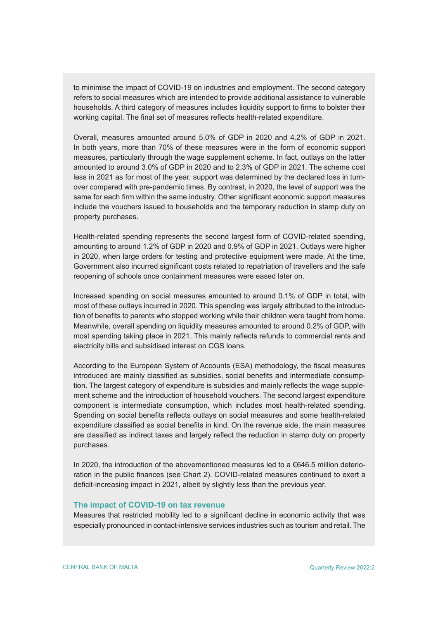to minimise the impact of COVID-19 on industries and employment. The second category refers to social measures which are intended to provide additional assistance to vulnerable households. A third category of measures includes liquidity support to firms to bolster their working capital. The final set of measures reflects health-related expenditure.

Overall, measures amounted around 5.0% of GDP in 2020 and 4.2% of GDP in 2021. In both years, more than 70% of these measures were in the form of economic support measures, particularly through the wage supplement scheme. In fact, outlays on the latter amounted to around 3.0% of GDP in 2020 and to 2.3% of GDP in 2021. The scheme cost less in 2021 as for most of the year, support was determined by the declared loss in turnover compared with pre-pandemic times. By contrast, in 2020, the level of support was the same for each firm within the same industry. Other significant economic support measures include the vouchers issued to households and the temporary reduction in stamp duty on property purchases.

Health-related spending represents the second largest form of COVID-related spending, amounting to around 1.2% of GDP in 2020 and 0.9% of GDP in 2021. Outlays were higher in 2020, when large orders for testing and protective equipment were made. At the time, Government also incurred significant costs related to repatriation of travellers and the safe reopening of schools once containment measures were eased later on.

Increased spending on social measures amounted to around 0.1% of GDP in total, with most of these outlays incurred in 2020. This spending was largely attributed to the introduction of benefits to parents who stopped working while their children were taught from home. Meanwhile, overall spending on liquidity measures amounted to around 0.2% of GDP, with most spending taking place in 2021. This mainly reflects refunds to commercial rents and electricity bills and subsidised interest on CGS loans.

According to the European System of Accounts (ESA) methodology, the fiscal measures introduced are mainly classified as subsidies, social benefits and intermediate consumption. The largest category of expenditure is subsidies and mainly reflects the wage supplement scheme and the introduction of household vouchers. The second largest expenditure component is intermediate consumption, which includes most health-related spending. Spending on social benefits reflects outlays on social measures and some health-related expenditure classified as social benefits in kind. On the revenue side, the main measures are classified as indirect taxes and largely reflect the reduction in stamp duty on property purchases.

In 2020, the introduction of the abovementioned measures led to a  $\epsilon$ 646.5 million deterioration in the public finances (see Chart 2). COVID-related measures continued to exert a deficit-increasing impact in 2021, albeit by slightly less than the previous year.

## **The impact of COVID-19 on tax revenue**

Measures that restricted mobility led to a significant decline in economic activity that was especially pronounced in contact-intensive services industries such as tourism and retail. The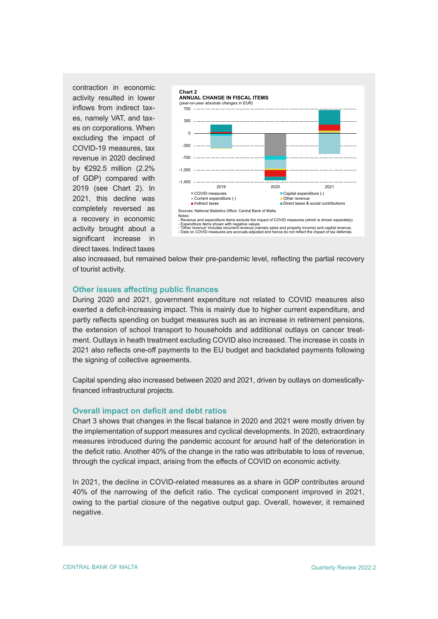contraction in economic activity resulted in lower inflows from indirect taxes, namely VAT, and taxes on corporations. When excluding the impact of COVID-19 measures, tax revenue in 2020 declined by €292.5 million (2.2% of GDP) compared with 2019 (see Chart 2). In 2021, this decline was completely reversed as a recovery in economic activity brought about a significant increase in direct taxes. Indirect taxes



also increased, but remained below their pre-pandemic level, reflecting the partial recovery of tourist activity.

## **Other issues affecting public finances**

During 2020 and 2021, government expenditure not related to COVID measures also exerted a deficit-increasing impact. This is mainly due to higher current expenditure, and partly reflects spending on budget measures such as an increase in retirement pensions, the extension of school transport to households and additional outlays on cancer treatment. Outlays in heath treatment excluding COVID also increased. The increase in costs in 2021 also reflects one-off payments to the EU budget and backdated payments following the signing of collective agreements.

Capital spending also increased between 2020 and 2021, driven by outlays on domesticallyfinanced infrastructural projects.

#### **Overall impact on deficit and debt ratios**

Chart 3 shows that changes in the fiscal balance in 2020 and 2021 were mostly driven by the implementation of support measures and cyclical developments. In 2020, extraordinary measures introduced during the pandemic account for around half of the deterioration in the deficit ratio. Another 40% of the change in the ratio was attributable to loss of revenue, through the cyclical impact, arising from the effects of COVID on economic activity.

In 2021, the decline in COVID-related measures as a share in GDP contributes around 40% of the narrowing of the deficit ratio. The cyclical component improved in 2021, owing to the partial closure of the negative output gap. Overall, however, it remained negative.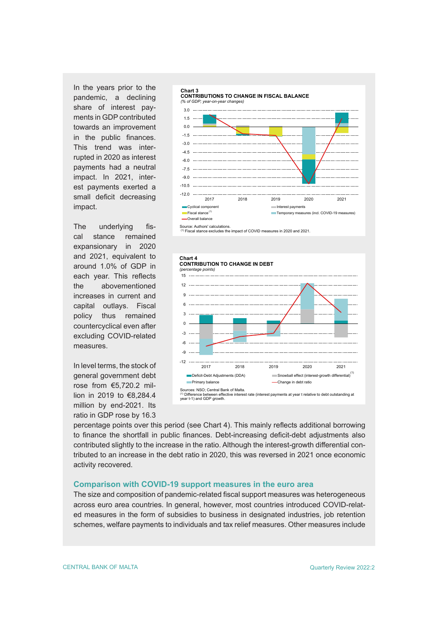In the years prior to the pandemic, a declining share of interest payments in GDP contributed towards an improvement in the public finances. This trend was interrupted in 2020 as interest payments had a neutral impact. In 2021, interest payments exerted a small deficit decreasing impact.

The underlying fiscal stance remained expansionary in 2020 and 2021, equivalent to around 1.0% of GDP in each year. This reflects the abovementioned increases in current and capital outlays. Fiscal policy thus remained countercyclical even after excluding COVID-related measures.

In level terms, the stock of general government debt rose from €5,720.2 million in 2019 to €8,284.4 million by end-2021. Its ratio in GDP rose by 16.3



Source: Authors' calculations.<br><sup>(1)</sup> Fiscal stance excludes the impact of COVID measures in 2020 and 2021.





percentage points over this period (see Chart 4). This mainly reflects additional borrowing to finance the shortfall in public finances. Debt-increasing deficit-debt adjustments also contributed slightly to the increase in the ratio. Although the interest-growth differential contributed to an increase in the debt ratio in 2020, this was reversed in 2021 once economic activity recovered.

## **Comparison with COVID-19 support measures in the euro area**

The size and composition of pandemic-related fiscal support measures was heterogeneous across euro area countries. In general, however, most countries introduced COVID-related measures in the form of subsidies to business in designated industries, job retention schemes, welfare payments to individuals and tax relief measures. Other measures include